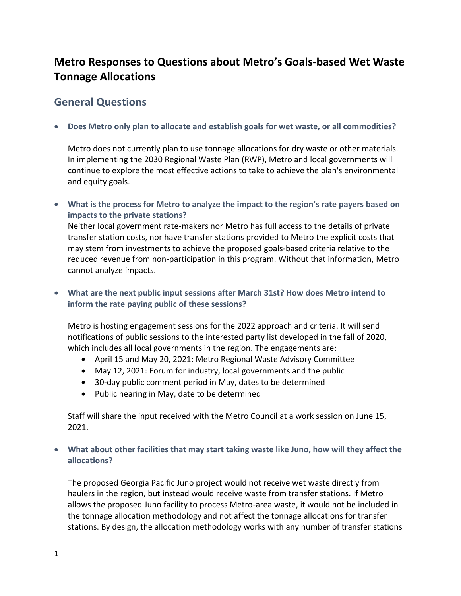# **Metro Responses to Questions about Metro's Goals-based Wet Waste Tonnage Allocations**

### **General Questions**

**Does Metro only plan to allocate and establish goals for wet waste, or all commodities?** 

Metro does not currently plan to use tonnage allocations for dry waste or other materials. In implementing the 2030 Regional Waste Plan (RWP), Metro and local governments will continue to explore the most effective actions to take to achieve the plan's environmental and equity goals.

 **What is the process for Metro to analyze the impact to the region's rate payers based on impacts to the private stations?** 

Neither local government rate-makers nor Metro has full access to the details of private transfer station costs, nor have transfer stations provided to Metro the explicit costs that may stem from investments to achieve the proposed goals-based criteria relative to the reduced revenue from non-participation in this program. Without that information, Metro cannot analyze impacts.

 **What are the next public input sessions after March 31st? How does Metro intend to inform the rate paying public of these sessions?** 

Metro is hosting engagement sessions for the 2022 approach and criteria. It will send notifications of public sessions to the interested party list developed in the fall of 2020, which includes all local governments in the region. The engagements are:

- April 15 and May 20, 2021: Metro Regional Waste Advisory Committee
- May 12, 2021: Forum for industry, local governments and the public
- 30-day public comment period in May, dates to be determined
- Public hearing in May, date to be determined

Staff will share the input received with the Metro Council at a work session on June 15, 2021.

 **What about other facilities that may start taking waste like Juno, how will they affect the allocations?** 

The proposed Georgia Pacific Juno project would not receive wet waste directly from haulers in the region, but instead would receive waste from transfer stations. If Metro allows the proposed Juno facility to process Metro-area waste, it would not be included in the tonnage allocation methodology and not affect the tonnage allocations for transfer stations. By design, the allocation methodology works with any number of transfer stations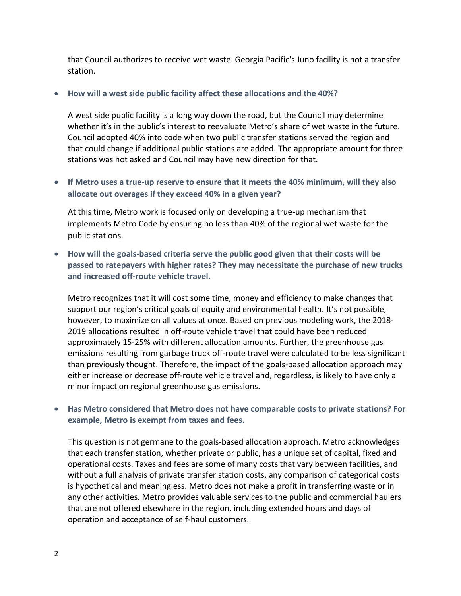that Council authorizes to receive wet waste. Georgia Pacific's Juno facility is not a transfer station.

#### **How will a west side public facility affect these allocations and the 40%?**

A west side public facility is a long way down the road, but the Council may determine whether it's in the public's interest to reevaluate Metro's share of wet waste in the future. Council adopted 40% into code when two public transfer stations served the region and that could change if additional public stations are added. The appropriate amount for three stations was not asked and Council may have new direction for that.

 **If Metro uses a true-up reserve to ensure that it meets the 40% minimum, will they also allocate out overages if they exceed 40% in a given year?**

At this time, Metro work is focused only on developing a true-up mechanism that implements Metro Code by ensuring no less than 40% of the regional wet waste for the public stations.

 **How will the goals-based criteria serve the public good given that their costs will be passed to ratepayers with higher rates? They may necessitate the purchase of new trucks and increased off-route vehicle travel.**

Metro recognizes that it will cost some time, money and efficiency to make changes that support our region's critical goals of equity and environmental health. It's not possible, however, to maximize on all values at once. Based on previous modeling work, the 2018- 2019 allocations resulted in off-route vehicle travel that could have been reduced approximately 15-25% with different allocation amounts. Further, the greenhouse gas emissions resulting from garbage truck off-route travel were calculated to be less significant than previously thought. Therefore, the impact of the goals-based allocation approach may either increase or decrease off-route vehicle travel and, regardless, is likely to have only a minor impact on regional greenhouse gas emissions.

#### **Has Metro considered that Metro does not have comparable costs to private stations? For example, Metro is exempt from taxes and fees.**

This question is not germane to the goals-based allocation approach. Metro acknowledges that each transfer station, whether private or public, has a unique set of capital, fixed and operational costs. Taxes and fees are some of many costs that vary between facilities, and without a full analysis of private transfer station costs, any comparison of categorical costs is hypothetical and meaningless. Metro does not make a profit in transferring waste or in any other activities. Metro provides valuable services to the public and commercial haulers that are not offered elsewhere in the region, including extended hours and days of operation and acceptance of self-haul customers.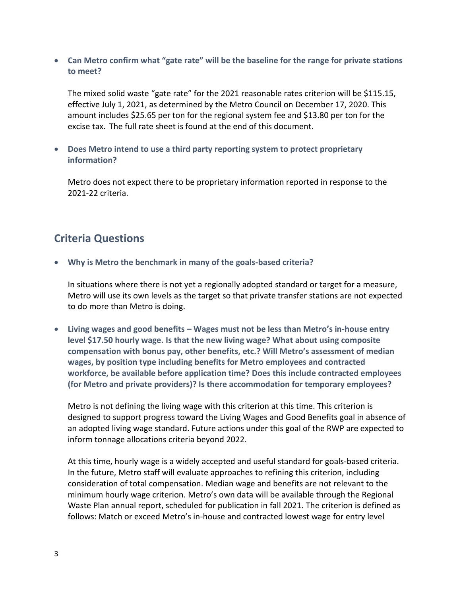**Can Metro confirm what "gate rate" will be the baseline for the range for private stations to meet?** 

The mixed solid waste "gate rate" for the 2021 reasonable rates criterion will be \$115.15, effective July 1, 2021, as determined by the Metro Council on December 17, 2020. This amount includes \$25.65 per ton for the regional system fee and \$13.80 per ton for the excise tax. The full rate sheet is found at the end of this document.

 **Does Metro intend to use a third party reporting system to protect proprietary information?** 

Metro does not expect there to be proprietary information reported in response to the 2021-22 criteria.

## **Criteria Questions**

**Why is Metro the benchmark in many of the goals-based criteria?** 

In situations where there is not yet a regionally adopted standard or target for a measure, Metro will use its own levels as the target so that private transfer stations are not expected to do more than Metro is doing.

 **Living wages and good benefits – Wages must not be less than Metro's in-house entry level \$17.50 hourly wage. Is that the new living wage? What about using composite compensation with bonus pay, other benefits, etc.? Will Metro's assessment of median wages, by position type including benefits for Metro employees and contracted workforce, be available before application time? Does this include contracted employees (for Metro and private providers)? Is there accommodation for temporary employees?** 

Metro is not defining the living wage with this criterion at this time. This criterion is designed to support progress toward the Living Wages and Good Benefits goal in absence of an adopted living wage standard. Future actions under this goal of the RWP are expected to inform tonnage allocations criteria beyond 2022.

At this time, hourly wage is a widely accepted and useful standard for goals-based criteria. In the future, Metro staff will evaluate approaches to refining this criterion, including consideration of total compensation. Median wage and benefits are not relevant to the minimum hourly wage criterion. Metro's own data will be available through the Regional Waste Plan annual report, scheduled for publication in fall 2021. The criterion is defined as follows: Match or exceed Metro's in-house and contracted lowest wage for entry level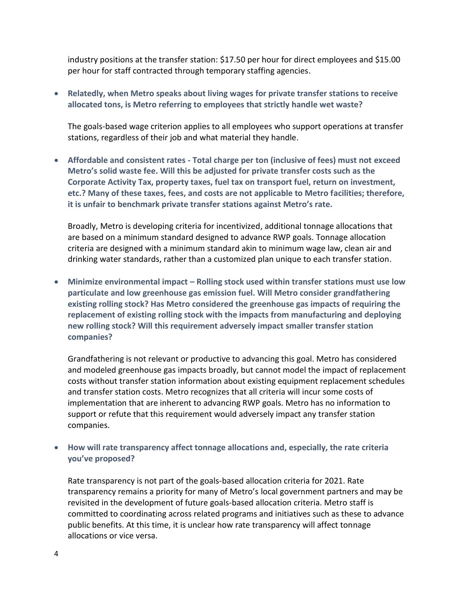industry positions at the transfer station: \$17.50 per hour for direct employees and \$15.00 per hour for staff contracted through temporary staffing agencies.

 **Relatedly, when Metro speaks about living wages for private transfer stations to receive allocated tons, is Metro referring to employees that strictly handle wet waste?** 

The goals-based wage criterion applies to all employees who support operations at transfer stations, regardless of their job and what material they handle.

 **Affordable and consistent rates - Total charge per ton (inclusive of fees) must not exceed Metro's solid waste fee. Will this be adjusted for private transfer costs such as the Corporate Activity Tax, property taxes, fuel tax on transport fuel, return on investment, etc.? Many of these taxes, fees, and costs are not applicable to Metro facilities; therefore, it is unfair to benchmark private transfer stations against Metro's rate.** 

Broadly, Metro is developing criteria for incentivized, additional tonnage allocations that are based on a minimum standard designed to advance RWP goals. Tonnage allocation criteria are designed with a minimum standard akin to minimum wage law, clean air and drinking water standards, rather than a customized plan unique to each transfer station.

 **Minimize environmental impact – Rolling stock used within transfer stations must use low particulate and low greenhouse gas emission fuel. Will Metro consider grandfathering existing rolling stock? Has Metro considered the greenhouse gas impacts of requiring the replacement of existing rolling stock with the impacts from manufacturing and deploying new rolling stock? Will this requirement adversely impact smaller transfer station companies?**

Grandfathering is not relevant or productive to advancing this goal. Metro has considered and modeled greenhouse gas impacts broadly, but cannot model the impact of replacement costs without transfer station information about existing equipment replacement schedules and transfer station costs. Metro recognizes that all criteria will incur some costs of implementation that are inherent to advancing RWP goals. Metro has no information to support or refute that this requirement would adversely impact any transfer station companies.

 **How will rate transparency affect tonnage allocations and, especially, the rate criteria you've proposed?**

Rate transparency is not part of the goals-based allocation criteria for 2021. Rate transparency remains a priority for many of Metro's local government partners and may be revisited in the development of future goals-based allocation criteria. Metro staff is committed to coordinating across related programs and initiatives such as these to advance public benefits. At this time, it is unclear how rate transparency will affect tonnage allocations or vice versa.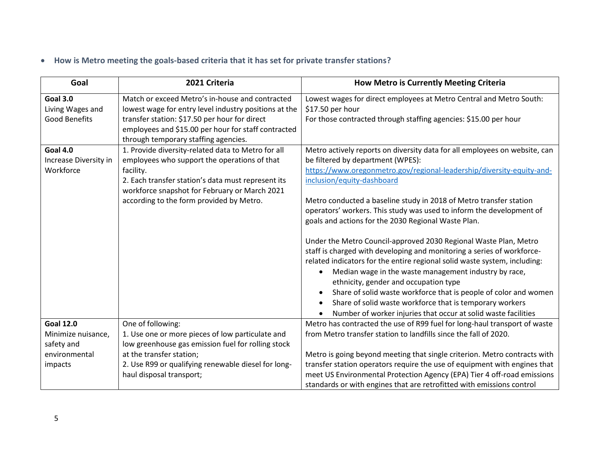# **How is Metro meeting the goals-based criteria that it has set for private transfer stations?**

| Goal                                                                             | 2021 Criteria                                                                                                                                                                                                                                                                                                  | How Metro is Currently Meeting Criteria                                                                                                                                                                                                                                                                                                                                                                                                                                                                                                                                                                                                                                                                                                                                                                                                                                           |  |  |  |
|----------------------------------------------------------------------------------|----------------------------------------------------------------------------------------------------------------------------------------------------------------------------------------------------------------------------------------------------------------------------------------------------------------|-----------------------------------------------------------------------------------------------------------------------------------------------------------------------------------------------------------------------------------------------------------------------------------------------------------------------------------------------------------------------------------------------------------------------------------------------------------------------------------------------------------------------------------------------------------------------------------------------------------------------------------------------------------------------------------------------------------------------------------------------------------------------------------------------------------------------------------------------------------------------------------|--|--|--|
| <b>Goal 3.0</b><br>Living Wages and<br><b>Good Benefits</b><br><b>Goal 4.0</b>   | Match or exceed Metro's in-house and contracted<br>lowest wage for entry level industry positions at the<br>transfer station: \$17.50 per hour for direct<br>employees and \$15.00 per hour for staff contracted<br>through temporary staffing agencies.<br>1. Provide diversity-related data to Metro for all | Lowest wages for direct employees at Metro Central and Metro South:<br>\$17.50 per hour<br>For those contracted through staffing agencies: \$15.00 per hour<br>Metro actively reports on diversity data for all employees on website, can                                                                                                                                                                                                                                                                                                                                                                                                                                                                                                                                                                                                                                         |  |  |  |
| Increase Diversity in<br>Workforce                                               | employees who support the operations of that<br>facility.<br>2. Each transfer station's data must represent its<br>workforce snapshot for February or March 2021<br>according to the form provided by Metro.                                                                                                   | be filtered by department (WPES):<br>https://www.oregonmetro.gov/regional-leadership/diversity-equity-and-<br>inclusion/equity-dashboard<br>Metro conducted a baseline study in 2018 of Metro transfer station<br>operators' workers. This study was used to inform the development of<br>goals and actions for the 2030 Regional Waste Plan.<br>Under the Metro Council-approved 2030 Regional Waste Plan, Metro<br>staff is charged with developing and monitoring a series of workforce-<br>related indicators for the entire regional solid waste system, including:<br>Median wage in the waste management industry by race,<br>٠<br>ethnicity, gender and occupation type<br>Share of solid waste workforce that is people of color and women<br>Share of solid waste workforce that is temporary workers<br>Number of worker injuries that occur at solid waste facilities |  |  |  |
| <b>Goal 12.0</b><br>Minimize nuisance,<br>safety and<br>environmental<br>impacts | One of following:<br>1. Use one or more pieces of low particulate and<br>low greenhouse gas emission fuel for rolling stock<br>at the transfer station;<br>2. Use R99 or qualifying renewable diesel for long-<br>haul disposal transport;                                                                     | Metro has contracted the use of R99 fuel for long-haul transport of waste<br>from Metro transfer station to landfills since the fall of 2020.<br>Metro is going beyond meeting that single criterion. Metro contracts with<br>transfer station operators require the use of equipment with engines that<br>meet US Environmental Protection Agency (EPA) Tier 4 off-road emissions<br>standards or with engines that are retrofitted with emissions control                                                                                                                                                                                                                                                                                                                                                                                                                       |  |  |  |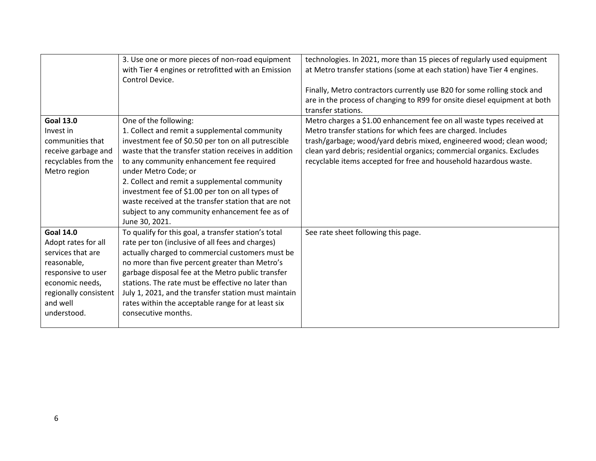|                       | 3. Use one or more pieces of non-road equipment<br>with Tier 4 engines or retrofitted with an Emission<br>Control Device. | technologies. In 2021, more than 15 pieces of regularly used equipment<br>at Metro transfer stations (some at each station) have Tier 4 engines.<br>Finally, Metro contractors currently use B20 for some rolling stock and<br>are in the process of changing to R99 for onsite diesel equipment at both<br>transfer stations. |
|-----------------------|---------------------------------------------------------------------------------------------------------------------------|--------------------------------------------------------------------------------------------------------------------------------------------------------------------------------------------------------------------------------------------------------------------------------------------------------------------------------|
| <b>Goal 13.0</b>      | One of the following:                                                                                                     | Metro charges a \$1.00 enhancement fee on all waste types received at                                                                                                                                                                                                                                                          |
| Invest in             | 1. Collect and remit a supplemental community                                                                             | Metro transfer stations for which fees are charged. Includes                                                                                                                                                                                                                                                                   |
| communities that      | investment fee of \$0.50 per ton on all putrescible                                                                       | trash/garbage; wood/yard debris mixed, engineered wood; clean wood;                                                                                                                                                                                                                                                            |
| receive garbage and   | waste that the transfer station receives in addition                                                                      | clean yard debris; residential organics; commercial organics. Excludes                                                                                                                                                                                                                                                         |
| recyclables from the  | to any community enhancement fee required                                                                                 | recyclable items accepted for free and household hazardous waste.                                                                                                                                                                                                                                                              |
| Metro region          | under Metro Code; or                                                                                                      |                                                                                                                                                                                                                                                                                                                                |
|                       | 2. Collect and remit a supplemental community                                                                             |                                                                                                                                                                                                                                                                                                                                |
|                       | investment fee of \$1.00 per ton on all types of<br>waste received at the transfer station that are not                   |                                                                                                                                                                                                                                                                                                                                |
|                       | subject to any community enhancement fee as of                                                                            |                                                                                                                                                                                                                                                                                                                                |
|                       | June 30, 2021.                                                                                                            |                                                                                                                                                                                                                                                                                                                                |
| <b>Goal 14.0</b>      | To qualify for this goal, a transfer station's total                                                                      | See rate sheet following this page.                                                                                                                                                                                                                                                                                            |
| Adopt rates for all   | rate per ton (inclusive of all fees and charges)                                                                          |                                                                                                                                                                                                                                                                                                                                |
| services that are     | actually charged to commercial customers must be                                                                          |                                                                                                                                                                                                                                                                                                                                |
| reasonable,           | no more than five percent greater than Metro's                                                                            |                                                                                                                                                                                                                                                                                                                                |
| responsive to user    | garbage disposal fee at the Metro public transfer                                                                         |                                                                                                                                                                                                                                                                                                                                |
| economic needs,       | stations. The rate must be effective no later than                                                                        |                                                                                                                                                                                                                                                                                                                                |
| regionally consistent | July 1, 2021, and the transfer station must maintain                                                                      |                                                                                                                                                                                                                                                                                                                                |
| and well              | rates within the acceptable range for at least six                                                                        |                                                                                                                                                                                                                                                                                                                                |
| understood.           | consecutive months.                                                                                                       |                                                                                                                                                                                                                                                                                                                                |
|                       |                                                                                                                           |                                                                                                                                                                                                                                                                                                                                |